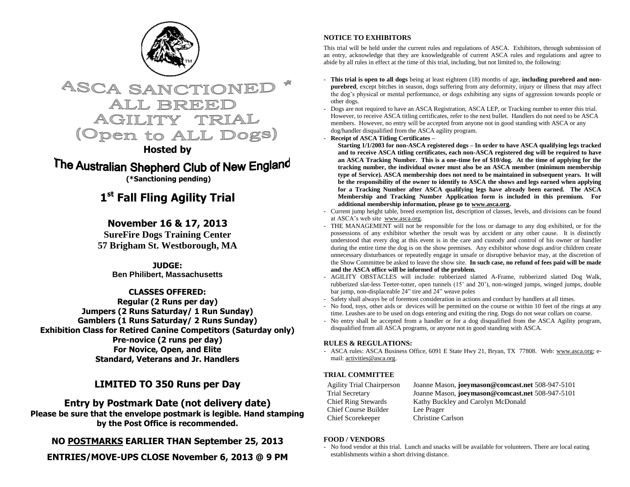



# **Hosted by**

The Australian Shepherd Club of New England **(\*Sanctioning pending)**

# **1 st Fall Fling Agility Trial**

# **November 16 & 17, 2013**

**SureFire Dogs Training Center 57 Brigham St. Westborough, MA**

> **JUDGE: Ben Philibert, Massachusetts**

**CLASSES OFFERED: Regular (2 Runs per day) Jumpers (2 Runs Saturday/ 1 Run Sunday) Gamblers (1 Runs Saturday/ 2 Runs Sunday) Exhibition Class for Retired Canine Competitors (Saturday only) Pre-novice (2 runs per day) For Novice, Open, and Elite Standard, Veterans and Jr. Handlers**

# **LIMITED TO 350 Runs per Day**

# **Entry by Postmark Date (not delivery date)**

**Please be sure that the envelope postmark is legible. Hand stamping by the Post Office is recommended.** 

**NO POSTMARKS EARLIER THAN September 25, 2013**

**ENTRIES/MOVE-UPS CLOSE November 6, 2013 @ 9 PM**

# **NOTICE TO EXHIBITORS**

This trial will be held under the current rules and regulations of ASCA. Exhibitors, through submission of an entry, acknowledge that they are knowledgeable of current ASCA rules and regulations and agree to abide by all rules in effect at the time of this trial, including, but not limited to, the following:

- **This trial is open to all dogs** being at least eighteen (18) months of age, **including purebred and nonpurebred**, except bitches in season, dogs suffering from any deformity, injury or illness that may affect the dog's physical or mental performance, or dogs exhibiting any signs of aggression towards people or other dogs.
- Dogs are not required to have an ASCA Registration, ASCA LEP, or Tracking number to enter this trial. However, to receive ASCA titling certificates, refer to the next bullet. Handlers do not need to be ASCA members. However, no entry will be accepted from anyone not in good standing with ASCA or any dog/handler disqualified from the ASCA agility program.
- **Receipt of ASCA Titling Certificates –**

**Starting 1/1/2003 for non-ASCA registered dogs – In order to have ASCA qualifying legs tracked and to receive ASCA titling certificates, each non-ASCA registered dog will be required to have an ASCA Tracking Number. This is a one-time fee of \$10/dog. At the time of applying for the tracking number, the individual owner must also be an ASCA member (minimum membership type of Service). ASCA membership does not need to be maintained in subsequent years. It will be the responsibility of the owner to identify to ASCA the shows and legs earned when applying for a Tracking Number after ASCA qualifying legs have already been earned. The ASCA Membership and Tracking Number Application form is included in this premium. For additional membership information, please go to www.asca.org.**

- Current jump height table, breed exemption list, description of classes, levels, and divisions can be found at ASCA's web site [www.asca.org.](http://www.asca.org/)
- THE MANAGEMENT will not be responsible for the loss or damage to any dog exhibited, or for the possessions of any exhibitor whether the result was by accident or any other cause. It is distinctly understood that every dog at this event is in the care and custody and control of his owner or handler during the entire time the dog is on the show premises. Any exhibitor whose dogs and/or children create unnecessary disturbances or repeatedly engage in unsafe or disruptive behavior may, at the discretion of the Show Committee be asked to leave the show site. **In such case, no refund of fees paid will be made and the ASCA office will be informed of the problem.**
- AGILITY OBSTACLES will include: rubberized slatted A-Frame, rubberized slatted Dog Walk, rubberized slat-less Teeter-totter, open tunnels (15' and 20'), non-winged jumps, winged jumps, double bar jump, non-displaceable 24" tire and 24" weave poles
- Safety shall always be of foremost consideration in actions and conduct by handlers at all times.
- No food, toys, other aids or devices will be permitted on the course or within 10 feet of the rings at any time. Leashes are to be used on dogs entering and exiting the ring. Dogs do not wear collars on coarse.
- No entry shall be accepted from a handler or for a dog disqualified from the ASCA Agility program, disqualified from all ASCA programs, or anyone not in good standing with ASCA.

# **RULES & REGULATIONS:**

- ASCA rules: ASCA Business Office, 6091 E State Hwy 21, Bryan, TX 77808. Web: [www.asca.org;](http://www.asca.org/) email[: activities@asca.org.](mailto:activities@asca.org)

# **TRIAL COMMITTEE**

Chief Course Builder Lee Prager Chief Scorekeeper Christine Carlson

Agility Trial Chairperson Joanne Mason, **joeymason@comcast.net** 508-947-5101 Trial Secretary Joanne Mason, **joeymason@comcast.net** 508-947-5101 Chief Ring Stewards Kathy Buckley and Carolyn McDonald

# **FOOD / VENDORS**

- No food vendor at this trial. Lunch and snacks will be available for volunteers. There are local eating establishments within a short driving distance.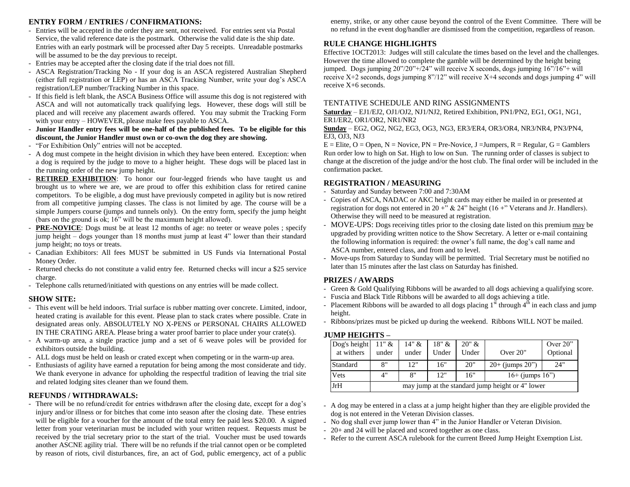## **ENTRY FORM / ENTRIES / CONFIRMATIONS:**

- Entries will be accepted in the order they are sent, not received. For entries sent via Postal Service, the valid reference date is the postmark. Otherwise the valid date is the ship date. Entries with an early postmark will be processed after Day 5 receipts. Unreadable postmarks will be assumed to be the day previous to receipt.
- Entries may be accepted after the closing date if the trial does not fill.
- ASCA Registration/Tracking No If your dog is an ASCA registered Australian Shepherd (either full registration or LEP) or has an ASCA Tracking Number, write your dog's ASCA registration/LEP number/Tracking Number in this space.
- If this field is left blank, the ASCA Business Office will assume this dog is not registered with ASCA and will not automatically track qualifying legs. However, these dogs will still be placed and will receive any placement awards offered. You may submit the Tracking Form with your entry – HOWEVER, please make fees payable to ASCA.
- **Junior Handler entry fees will be one-half of the published fees. To be eligible for this discount, the Junior Handler must own or co-own the dog they are showing.**
- "For Exhibition Only" entries will not be accepted.
- A dog must compete in the height division in which they have been entered. Exception: when a dog is required by the judge to move to a higher height. These dogs will be placed last in the running order of the new jump height.
- **RETIRED EXHIBITION**: To honor our four-legged friends who have taught us and brought us to where we are, we are proud to offer this exhibition class for retired canine competitors. To be eligible, a dog must have previously competed in agility but is now retired from all competitive jumping classes. The class is not limited by age. The course will be a simple Jumpers course (jumps and tunnels only). On the entry form, specify the jump height (bars on the ground is ok; 16" will be the maximum height allowed).
- **PRE-NOVICE:** Dogs must be at least 12 months of age: no teeter or weave poles ; specify jump height – dogs younger than 18 months must jump at least 4" lower than their standard jump height; no toys or treats.
- Canadian Exhibitors: All fees MUST be submitted in US Funds via International Postal Money Order.
- Returned checks do not constitute a valid entry fee. Returned checks will incur a \$25 service charge.
- Telephone calls returned/initiated with questions on any entries will be made collect.

## **SHOW SITE:**

- This event will be held indoors. Trial surface is rubber matting over concrete. Limited, indoor, heated crating is available for this event. Please plan to stack crates where possible. Crate in designated areas only. ABSOLUTELY NO X-PENS or PERSONAL CHAIRS ALLOWED IN THE CRATING AREA. Please bring a water proof barrier to place under your crate(s).
- A warm-up area, a single practice jump and a set of 6 weave poles will be provided for exhibitors outside the building.
- ALL dogs must be held on leash or crated except when competing or in the warm-up area.
- Enthusiasts of agility have earned a reputation for being among the most considerate and tidy. We thank everyone in advance for upholding the respectful tradition of leaving the trial site and related lodging sites cleaner than we found them.

## **REFUNDS / WITHDRAWALS:**

- There will be no refund/credit for entries withdrawn after the closing date, except for a dog's injury and/or illness or for bitches that come into season after the closing date. These entries will be eligible for a voucher for the amount of the total entry fee paid less \$20.00. A signed letter from your veterinarian must be included with your written request. Requests must be received by the trial secretary prior to the start of the trial. Voucher must be used towards another ASCNE agility trial. There will be no refunds if the trial cannot open or be completed by reason of riots, civil disturbances, fire, an act of God, public emergency, act of a public enemy, strike, or any other cause beyond the control of the Event Committee. There will be no refund in the event dog/handler are dismissed from the competition, regardless of reason.

# **RULE CHANGE HIGHLIGHTS**

Effective 1OCT2013: Judges will still calculate the times based on the level and the challenges. However the time allowed to complete the gamble will be determined by the height being jumped. Dogs jumping 20"/20"+/24" will receive X seconds, dogs jumping 16"/16"+ will receive X+2 seconds, dogs jumping 8"/12" will receive X+4 seconds and dogs jumping 4" will receive X+6 seconds.

### TENTATIVE SCHEDULE AND RING ASSIGNMENTS

**Saturday** – EJ1/EJ2, OJ1/OJ2, NJ1/NJ2, Retired Exhibition, PN1/PN2, EG1, OG1, NG1, ER1/ER2, OR1/OR2, NR1/NR2

**Sunday** – EG2, OG2, NG2, EG3, OG3, NG3, ER3/ER4, OR3/OR4, NR3/NR4, PN3/PN4, EJ3, OJ3, NJ3

 $E =$  Elite, O = Open, N = Novice, PN = Pre-Novice, J = Jumpers, R = Regular, G = Gamblers Run order low to high on Sat. High to low on Sun. The running order of classes is subject to change at the discretion of the judge and/or the host club. The final order will be included in the confirmation packet.

## **REGISTRATION / MEASURING**

- Saturday and Sunday between 7:00 and 7:30AM
- Copies of ASCA, NADAC or AKC height cards may either be mailed in or presented at registration for dogs not entered in 20 +"  $\&$  24" height (16 +" Veterans and Jr. Handlers). Otherwise they will need to be measured at registration.
- MOVE-UPS: Dogs receiving titles prior to the closing date listed on this premium may be upgraded by providing written notice to the Show Secretary. A letter or e-mail containing the following information is required: the owner's full name, the dog's call name and ASCA number, entered class, and from and to level.
- Move-ups from Saturday to Sunday will be permitted. Trial Secretary must be notified no later than 15 minutes after the last class on Saturday has finished.

## **PRIZES / AWARDS**

- Green & Gold Qualifying Ribbons will be awarded to all dogs achieving a qualifying score.
- Fuscia and Black Title Ribbons will be awarded to all dogs achieving a title.
- Placement Ribbons will be awarded to all dogs placing  $1<sup>st</sup>$  through  $4<sup>th</sup>$  in each class and jump height.
- Ribbons/prizes must be picked up during the weekend. Ribbons WILL NOT be mailed.

#### **JUMP HEIGHTS –**

| Dog's height<br>at withers | $11"$ &<br>under                                 | $14" \&$<br>under | 18" &<br>Under | 20" &<br>Under | Over $20$ "          | Over $20$ "<br>Optional |  |  |  |
|----------------------------|--------------------------------------------------|-------------------|----------------|----------------|----------------------|-------------------------|--|--|--|
| Standard                   | 8"                                               | 12"               | 16"            | 20"            | $20+$ (jumps $20$ ") | 24"                     |  |  |  |
| Vets                       | 4"                                               | 8"                | 12"            | 16"            | $16+$ (jumps $16"$ ) |                         |  |  |  |
| JrH                        | may jump at the standard jump height or 4" lower |                   |                |                |                      |                         |  |  |  |

- A dog may be entered in a class at a jump height higher than they are eligible provided the dog is not entered in the Veteran Division classes.
- No dog shall ever jump lower than 4" in the Junior Handler or Veteran Division.
- 20+ and 24 will be placed and scored together as one class.
- Refer to the current ASCA rulebook for the current Breed Jump Height Exemption List.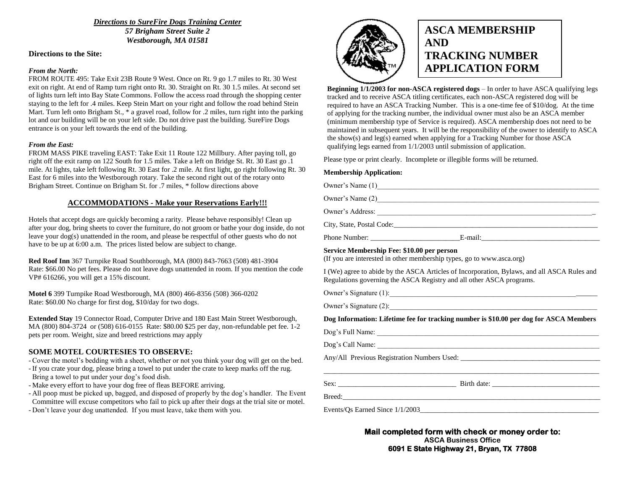*Directions to SureFire Dogs Training Center 57 Brigham Street Suite 2 Westborough, MA 01581*

#### **Directions to the Site:**

#### *From the North:*

FROM ROUTE 495: Take Exit 23B Route 9 West. Once on Rt. 9 go 1.7 miles to Rt. 30 West exit on right. At end of Ramp turn right onto Rt. 30. Straight on Rt. 30 1.5 miles. At second set of lights turn left into Bay State Commons. Follow the access road through the shopping center staying to the left for .4 miles. Keep Stein Mart on your right and follow the road behind Stein Mart. Turn left onto Brigham St., \* a gravel road, follow for .2 miles, turn right into the parking lot and our building will be on your left side. Do not drive past the building. SureFire Dogs entrance is on your left towards the end of the building.

#### *From the East:*

FROM MASS PIKE traveling EAST: Take Exit 11 Route 122 Millbury. After paying toll, go right off the exit ramp on 122 South for 1.5 miles. Take a left on Bridge St. Rt. 30 East go .1 mile. At lights, take left following Rt. 30 East for .2 mile. At first light, go right following Rt. 30 East for 6 miles into the Westborough rotary. Take the second right out of the rotary onto Brigham Street. Continue on Brigham St. for .7 miles, \* follow directions above

### **ACCOMMODATIONS - Make your Reservations Early!!!**

Hotels that accept dogs are quickly becoming a rarity. Please behave responsibly! Clean up after your dog, bring sheets to cover the furniture, do not groom or bathe your dog inside, do not leave your dog(s) unattended in the room, and please be respectful of other guests who do not have to be up at 6:00 a.m. The prices listed below are subject to change.

**Red Roof Inn** 367 Turnpike Road Southborough, MA (800) 843-7663 (508) 481-3904 Rate: \$66.00 No pet fees. Please do not leave dogs unattended in room. If you mention the code VP# 616266, you will get a 15% discount.

**Motel 6** 399 Turnpike Road Westborough, MA (800) 466-8356 (508) 366-0202 Rate: \$60.00 No charge for first dog, \$10/day for two dogs.

**Extended Stay** 19 Connector Road, Computer Drive and 180 East Main Street Westborough, MA (800) 804-3724 or (508) 616-0155 Rate: \$80.00 \$25 per day, non-refundable pet fee. 1-2 pets per room. Weight, size and breed restrictions may apply

#### **SOME MOTEL COURTESIES TO OBSERVE:**

- Cover the motel's bedding with a sheet, whether or not you think your dog will get on the bed.
- If you crate your dog, please bring a towel to put under the crate to keep marks off the rug. Bring a towel to put under your dog's food dish.
- Make every effort to have your dog free of fleas BEFORE arriving.
- All poop must be picked up, bagged, and disposed of properly by the dog's handler. The Event Committee will excuse competitors who fail to pick up after their dogs at the trial site or motel.
- Don't leave your dog unattended. If you must leave, take them with you.



# **ASCA MEMBERSHIP AND TRACKING NUMBER APPLICATION FORM**

**Beginning 1/1/2003 for non-ASCA registered dogs** – In order to have ASCA qualifying legs tracked and to receive ASCA titling certificates, each non-ASCA registered dog will be required to have an ASCA Tracking Number. This is a one-time fee of \$10/dog. At the time of applying for the tracking number, the individual owner must also be an ASCA member (minimum membership type of Service is required). ASCA membership does not need to be maintained in subsequent years. It will be the responsibility of the owner to identify to ASCA the show(s) and leg(s) earned when applying for a Tracking Number for those ASCA qualifying legs earned from 1/1/2003 until submission of application.

Please type or print clearly. Incomplete or illegible forms will be returned.

#### **Membership Application:**

|                           | Owner's Name (2)                                                                                                                                                                                                               |  |
|---------------------------|--------------------------------------------------------------------------------------------------------------------------------------------------------------------------------------------------------------------------------|--|
|                           | Owner's Address: The Same of the Same of the Same of the Same of the Same of the Same of the Same of the Same of the Same of the Same of the Same of the Same of the Same of the Same of the Same of the Same of the Same of t |  |
| City, State, Postal Code: |                                                                                                                                                                                                                                |  |
| Phone Number:             | E-mail:                                                                                                                                                                                                                        |  |

#### **Service Membership Fee: \$10.00 per person**

(If you are interested in other membership types, go to www.asca.org)

I (We) agree to abide by the ASCA Articles of Incorporation, Bylaws, and all ASCA Rules and Regulations governing the ASCA Registry and all other ASCA programs.

Owner's Signature (1):\_\_\_\_\_\_\_\_\_\_\_\_\_\_\_\_\_\_\_\_\_\_\_\_\_\_\_\_\_\_\_\_\_\_\_\_\_\_\_\_\_\_\_\_\_\_\_\_\_\_\_\_\_\_\_\_\_\_

Owner's Signature  $(2)$ :

**Dog Information: Lifetime fee for tracking number is \$10.00 per dog for ASCA Members**

Dog's Full Name: \_\_\_\_\_\_\_\_\_\_\_\_\_\_\_\_\_\_\_\_\_\_\_\_\_\_\_\_\_\_\_\_\_\_\_\_\_\_\_\_\_\_\_\_\_\_\_\_\_\_\_\_\_\_\_\_\_\_\_\_\_\_

Dog's Call Name: \_\_\_\_\_\_\_\_\_\_\_\_\_\_\_\_\_\_\_\_\_\_\_\_\_\_\_\_\_\_\_\_\_\_\_\_\_\_\_\_\_\_\_\_\_\_\_\_\_\_\_\_\_\_\_\_\_\_\_\_\_\_

Any/All Previous Registration Numbers Used:

Sex: \_\_\_\_\_\_\_\_\_\_\_\_\_\_\_\_\_\_\_\_\_\_\_\_\_\_\_\_\_\_\_\_\_ Birth date: \_\_\_\_\_\_\_\_\_\_\_\_\_\_\_\_\_\_\_\_\_\_\_\_\_\_\_\_\_\_

Breed:\_\_\_\_\_\_\_\_\_\_\_\_\_\_\_\_\_\_\_\_\_\_\_\_\_\_\_\_\_\_\_\_\_\_\_\_\_\_\_\_\_\_\_\_\_\_\_\_\_\_\_\_\_\_\_\_\_\_\_\_\_\_\_\_\_\_\_\_\_\_\_\_

Events/Qs Earned Since  $1/1/2003$ 

**Mail completed form with check or money order to: ASCA Business Office 6091 E State Highway 21, Bryan, TX 77808**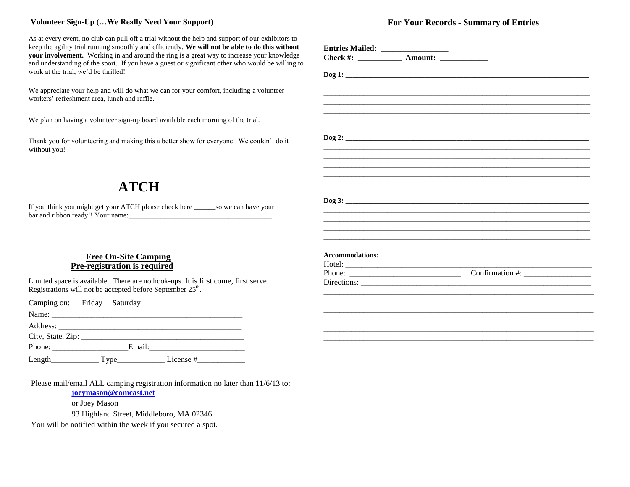## **Volunteer Sign-Up (…We Really Need Your Support)**

As at every event, no club can pull off a trial without the help and support of our exhibitors to keep the agility trial running smoothly and efficiently. **We will not be able to do this without your involvement.** Working in and around the ring is a great way to increase your knowledge and understanding of the sport. If you have a guest or significant other who would be willing to work at the trial, we'd be thrilled!

We appreciate your help and will do what we can for your comfort, including a volunteer workers' refreshment area, lunch and raffle.

We plan on having a volunteer sign-up board available each morning of the trial.

Thank you for volunteering and making this a better show for everyone. We couldn't do it without you!

# **ATCH**

If you think you might get your ATCH please check here \_\_\_\_\_\_so we can have your bar and ribbon ready!! Your name:\_\_\_\_\_\_\_\_\_\_\_\_\_\_\_\_\_\_\_\_\_\_\_\_\_\_\_\_\_\_\_\_\_\_\_\_\_\_\_\_

# **Free On-Site Camping Pre-registration is required**

Limited space is available. There are no hook-ups. It is first come, first serve. Registrations will not be accepted before September  $25<sup>th</sup>$ .

Camping on: Friday Saturday

Name: \_\_\_\_\_\_\_\_\_\_\_\_\_\_\_\_\_\_\_\_\_\_\_\_\_\_\_\_\_\_\_\_\_\_\_\_\_\_\_\_\_\_\_\_\_\_\_\_

Address: \_\_\_\_\_\_\_\_\_\_\_\_\_\_\_\_\_\_\_\_\_\_\_\_\_\_\_\_\_\_\_\_\_\_\_\_\_\_\_\_\_\_\_\_\_\_

City, State, Zip: \_\_\_\_\_\_\_\_\_\_\_\_\_\_\_\_\_\_\_\_\_\_\_\_\_\_\_\_\_\_\_\_\_\_\_\_\_\_\_\_\_

Phone: \_\_\_\_\_\_\_\_\_\_\_\_\_\_\_\_\_\_\_Email:\_\_\_\_\_\_\_\_\_\_\_\_\_\_\_\_\_\_\_\_\_\_\_\_

Length  $\Box$  Type  $\Box$  License #

Please mail/email ALL camping registration information no later than 11/6/13 to:

**[joeymason@comcast.net](mailto:joeymason@comcast.net)**

or Joey Mason

93 Highland Street, Middleboro, MA 02346

You will be notified within the week if you secured a spot.

## **For Your Records - Summary of Entries**

|                        | Entries Mailed: __________________<br>Check #: ______________ Amount: ______________ |  |
|------------------------|--------------------------------------------------------------------------------------|--|
|                        |                                                                                      |  |
|                        |                                                                                      |  |
|                        |                                                                                      |  |
|                        |                                                                                      |  |
|                        |                                                                                      |  |
|                        |                                                                                      |  |
|                        |                                                                                      |  |
|                        |                                                                                      |  |
|                        |                                                                                      |  |
|                        |                                                                                      |  |
|                        |                                                                                      |  |
|                        |                                                                                      |  |
|                        |                                                                                      |  |
|                        |                                                                                      |  |
|                        |                                                                                      |  |
|                        |                                                                                      |  |
|                        |                                                                                      |  |
|                        |                                                                                      |  |
|                        |                                                                                      |  |
|                        |                                                                                      |  |
|                        |                                                                                      |  |
|                        |                                                                                      |  |
|                        |                                                                                      |  |
|                        |                                                                                      |  |
| <b>Accommodations:</b> |                                                                                      |  |
|                        |                                                                                      |  |
|                        |                                                                                      |  |
|                        |                                                                                      |  |
|                        |                                                                                      |  |
|                        |                                                                                      |  |
|                        |                                                                                      |  |
|                        |                                                                                      |  |
|                        |                                                                                      |  |